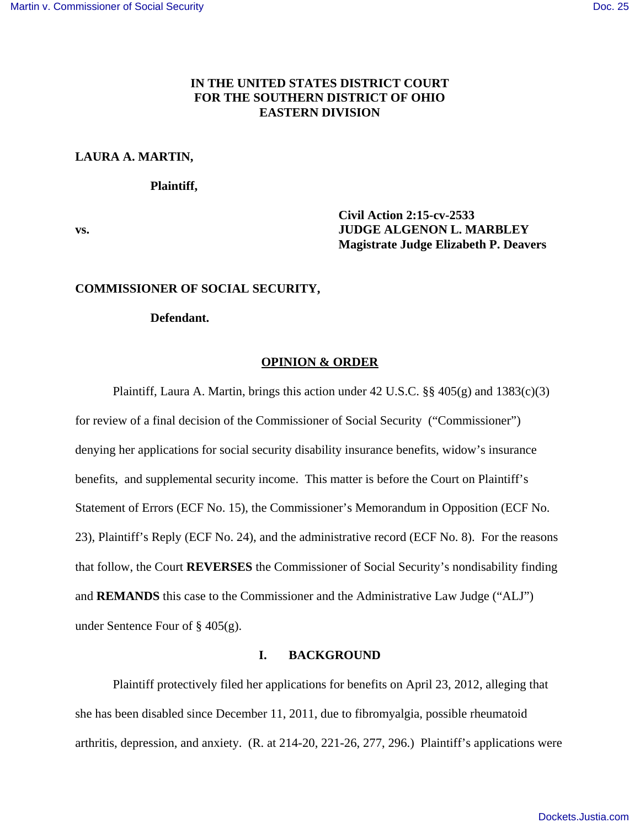# **IN THE UNITED STATES DISTRICT COURT FOR THE SOUTHERN DISTRICT OF OHIO EASTERN DIVISION**

### **LAURA A. MARTIN,**

**Plaintiff,**

**Civil Action 2:15-cv-2533 vs. JUDGE ALGENON L. MARBLEY Magistrate Judge Elizabeth P. Deavers**

### **COMMISSIONER OF SOCIAL SECURITY,**

### **Defendant.**

### **OPINION & ORDER**

Plaintiff, Laura A. Martin, brings this action under 42 U.S.C.  $\S$ § 405(g) and 1383(c)(3) for review of a final decision of the Commissioner of Social Security ("Commissioner") denying her applications for social security disability insurance benefits, widow's insurance benefits, and supplemental security income. This matter is before the Court on Plaintiff's Statement of Errors (ECF No. 15), the Commissioner's Memorandum in Opposition (ECF No. 23), Plaintiff's Reply (ECF No. 24), and the administrative record (ECF No. 8). For the reasons that follow, the Court **REVERSES** the Commissioner of Social Security's nondisability finding and **REMANDS** this case to the Commissioner and the Administrative Law Judge ("ALJ") under Sentence Four of § 405(g).

## **I. BACKGROUND**

Plaintiff protectively filed her applications for benefits on April 23, 2012, alleging that she has been disabled since December 11, 2011, due to fibromyalgia, possible rheumatoid arthritis, depression, and anxiety. (R. at 214-20, 221-26, 277, 296.) Plaintiff's applications were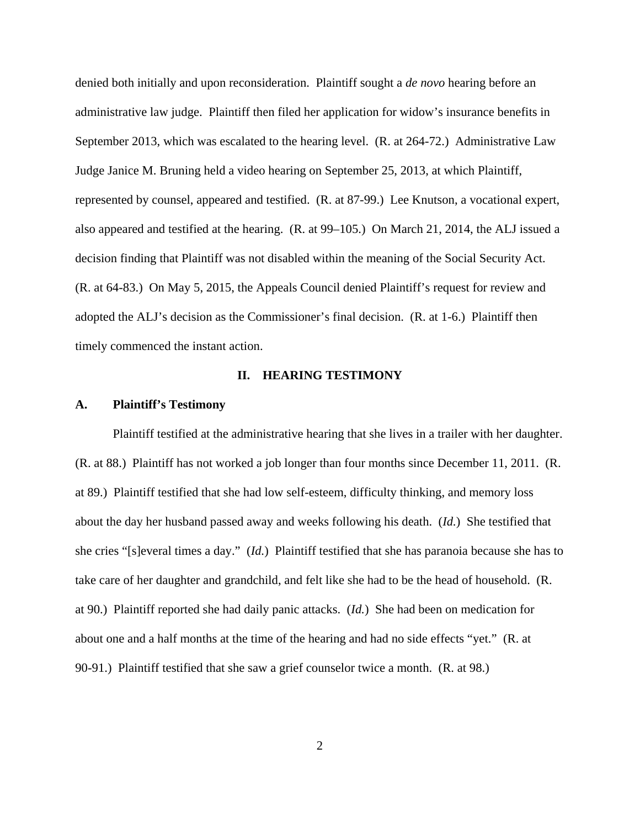denied both initially and upon reconsideration. Plaintiff sought a *de novo* hearing before an administrative law judge. Plaintiff then filed her application for widow's insurance benefits in September 2013, which was escalated to the hearing level. (R. at 264-72.) Administrative Law Judge Janice M. Bruning held a video hearing on September 25, 2013, at which Plaintiff, represented by counsel, appeared and testified. (R. at 87-99.) Lee Knutson, a vocational expert, also appeared and testified at the hearing. (R. at 99–105.) On March 21, 2014, the ALJ issued a decision finding that Plaintiff was not disabled within the meaning of the Social Security Act. (R. at 64-83.) On May 5, 2015, the Appeals Council denied Plaintiff's request for review and adopted the ALJ's decision as the Commissioner's final decision. (R. at 1-6.) Plaintiff then timely commenced the instant action.

## **II. HEARING TESTIMONY**

## **A. Plaintiff's Testimony**

Plaintiff testified at the administrative hearing that she lives in a trailer with her daughter. (R. at 88.) Plaintiff has not worked a job longer than four months since December 11, 2011. (R. at 89.) Plaintiff testified that she had low self-esteem, difficulty thinking, and memory loss about the day her husband passed away and weeks following his death. (*Id.*) She testified that she cries "[s]everal times a day." (*Id.*) Plaintiff testified that she has paranoia because she has to take care of her daughter and grandchild, and felt like she had to be the head of household. (R. at 90.) Plaintiff reported she had daily panic attacks. (*Id.*) She had been on medication for about one and a half months at the time of the hearing and had no side effects "yet." (R. at 90-91.) Plaintiff testified that she saw a grief counselor twice a month. (R. at 98.)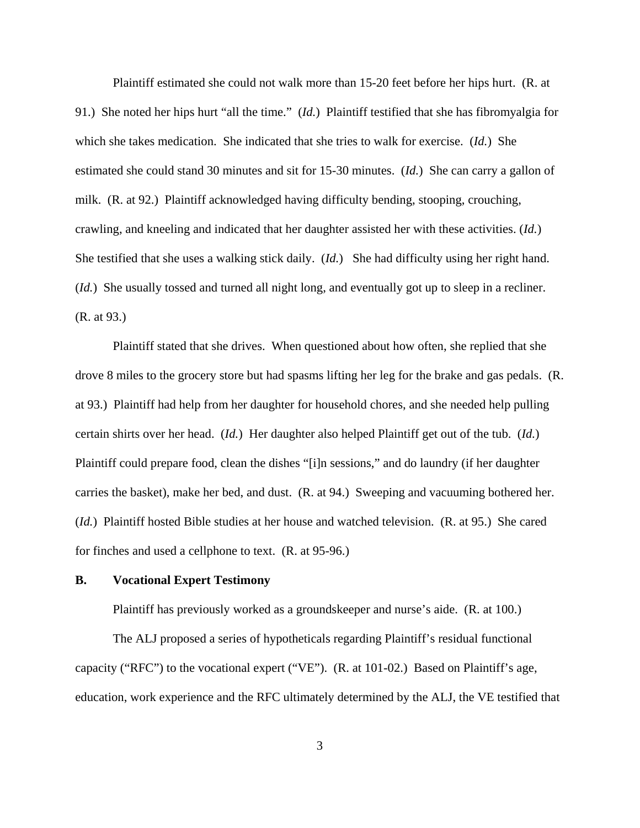Plaintiff estimated she could not walk more than 15-20 feet before her hips hurt. (R. at 91.) She noted her hips hurt "all the time." (*Id.*) Plaintiff testified that she has fibromyalgia for which she takes medication. She indicated that she tries to walk for exercise. (*Id.*) She estimated she could stand 30 minutes and sit for 15-30 minutes. (*Id.*) She can carry a gallon of milk. (R. at 92.) Plaintiff acknowledged having difficulty bending, stooping, crouching, crawling, and kneeling and indicated that her daughter assisted her with these activities. (*Id.*) She testified that she uses a walking stick daily. (*Id.*) She had difficulty using her right hand. (*Id.*) She usually tossed and turned all night long, and eventually got up to sleep in a recliner. (R. at 93.)

Plaintiff stated that she drives. When questioned about how often, she replied that she drove 8 miles to the grocery store but had spasms lifting her leg for the brake and gas pedals. (R. at 93.) Plaintiff had help from her daughter for household chores, and she needed help pulling certain shirts over her head. (*Id.*) Her daughter also helped Plaintiff get out of the tub. (*Id.*) Plaintiff could prepare food, clean the dishes "[i]n sessions," and do laundry (if her daughter carries the basket), make her bed, and dust. (R. at 94.) Sweeping and vacuuming bothered her. (*Id.*) Plaintiff hosted Bible studies at her house and watched television. (R. at 95.) She cared for finches and used a cellphone to text. (R. at 95-96.)

### **B. Vocational Expert Testimony**

Plaintiff has previously worked as a groundskeeper and nurse's aide. (R. at 100.)

The ALJ proposed a series of hypotheticals regarding Plaintiff's residual functional capacity ("RFC") to the vocational expert ("VE"). (R. at 101-02.) Based on Plaintiff's age, education, work experience and the RFC ultimately determined by the ALJ, the VE testified that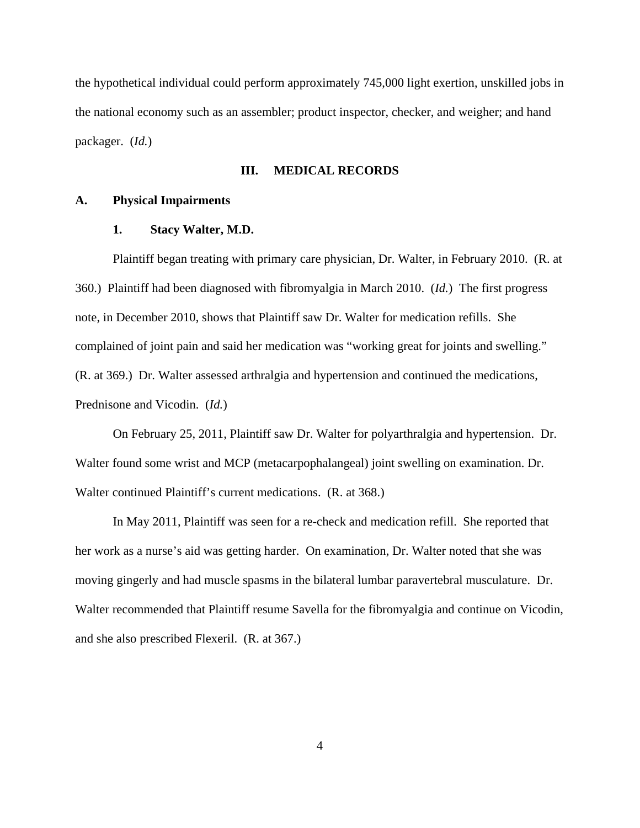the hypothetical individual could perform approximately 745,000 light exertion, unskilled jobs in the national economy such as an assembler; product inspector, checker, and weigher; and hand packager. (*Id.*)

### **III. MEDICAL RECORDS**

### **A. Physical Impairments**

### **1. Stacy Walter, M.D.**

Plaintiff began treating with primary care physician, Dr. Walter, in February 2010. (R. at 360.) Plaintiff had been diagnosed with fibromyalgia in March 2010. (*Id.*) The first progress note, in December 2010, shows that Plaintiff saw Dr. Walter for medication refills. She complained of joint pain and said her medication was "working great for joints and swelling." (R. at 369.) Dr. Walter assessed arthralgia and hypertension and continued the medications, Prednisone and Vicodin. (*Id.*)

On February 25, 2011, Plaintiff saw Dr. Walter for polyarthralgia and hypertension. Dr. Walter found some wrist and MCP (metacarpophalangeal) joint swelling on examination. Dr. Walter continued Plaintiff's current medications. (R. at 368.)

In May 2011, Plaintiff was seen for a re-check and medication refill. She reported that her work as a nurse's aid was getting harder. On examination, Dr. Walter noted that she was moving gingerly and had muscle spasms in the bilateral lumbar paravertebral musculature. Dr. Walter recommended that Plaintiff resume Savella for the fibromyalgia and continue on Vicodin, and she also prescribed Flexeril. (R. at 367.)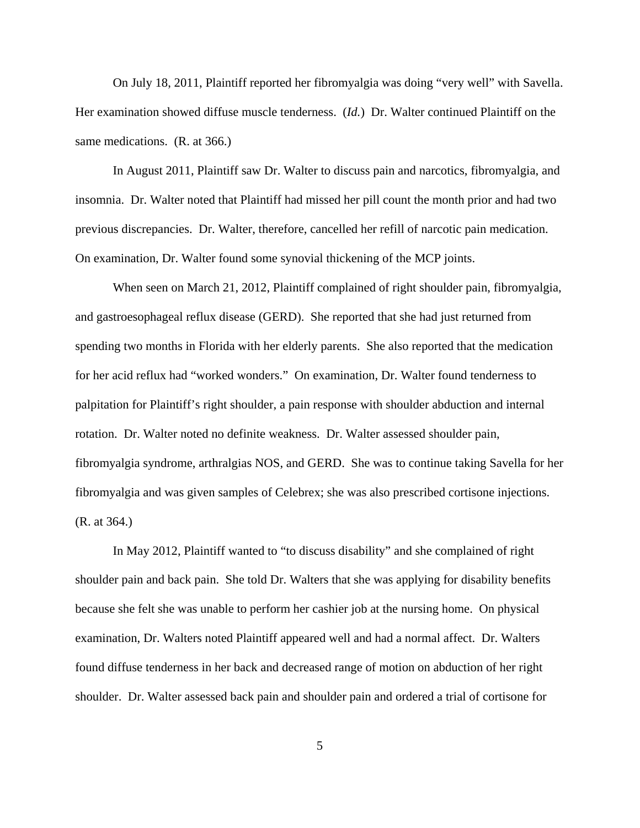On July 18, 2011, Plaintiff reported her fibromyalgia was doing "very well" with Savella. Her examination showed diffuse muscle tenderness. (*Id.*) Dr. Walter continued Plaintiff on the same medications. (R. at 366.)

In August 2011, Plaintiff saw Dr. Walter to discuss pain and narcotics, fibromyalgia, and insomnia. Dr. Walter noted that Plaintiff had missed her pill count the month prior and had two previous discrepancies. Dr. Walter, therefore, cancelled her refill of narcotic pain medication. On examination, Dr. Walter found some synovial thickening of the MCP joints.

When seen on March 21, 2012, Plaintiff complained of right shoulder pain, fibromyalgia, and gastroesophageal reflux disease (GERD). She reported that she had just returned from spending two months in Florida with her elderly parents. She also reported that the medication for her acid reflux had "worked wonders." On examination, Dr. Walter found tenderness to palpitation for Plaintiff's right shoulder, a pain response with shoulder abduction and internal rotation. Dr. Walter noted no definite weakness. Dr. Walter assessed shoulder pain, fibromyalgia syndrome, arthralgias NOS, and GERD. She was to continue taking Savella for her fibromyalgia and was given samples of Celebrex; she was also prescribed cortisone injections. (R. at 364.)

In May 2012, Plaintiff wanted to "to discuss disability" and she complained of right shoulder pain and back pain. She told Dr. Walters that she was applying for disability benefits because she felt she was unable to perform her cashier job at the nursing home. On physical examination, Dr. Walters noted Plaintiff appeared well and had a normal affect. Dr. Walters found diffuse tenderness in her back and decreased range of motion on abduction of her right shoulder. Dr. Walter assessed back pain and shoulder pain and ordered a trial of cortisone for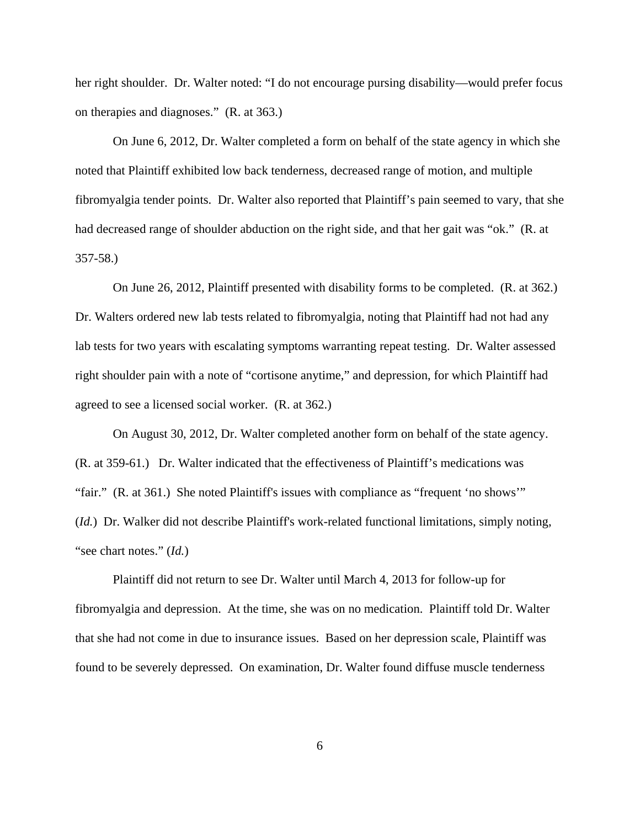her right shoulder. Dr. Walter noted: "I do not encourage pursing disability—would prefer focus on therapies and diagnoses." (R. at 363.)

On June 6, 2012, Dr. Walter completed a form on behalf of the state agency in which she noted that Plaintiff exhibited low back tenderness, decreased range of motion, and multiple fibromyalgia tender points. Dr. Walter also reported that Plaintiff's pain seemed to vary, that she had decreased range of shoulder abduction on the right side, and that her gait was "ok." (R. at 357-58.)

On June 26, 2012, Plaintiff presented with disability forms to be completed. (R. at 362.) Dr. Walters ordered new lab tests related to fibromyalgia, noting that Plaintiff had not had any lab tests for two years with escalating symptoms warranting repeat testing. Dr. Walter assessed right shoulder pain with a note of "cortisone anytime," and depression, for which Plaintiff had agreed to see a licensed social worker. (R. at 362.)

On August 30, 2012, Dr. Walter completed another form on behalf of the state agency. (R. at 359-61.) Dr. Walter indicated that the effectiveness of Plaintiff's medications was "fair." (R. at 361.) She noted Plaintiff's issues with compliance as "frequent 'no shows'" (*Id.*) Dr. Walker did not describe Plaintiff's work-related functional limitations, simply noting, "see chart notes." (*Id.*)

Plaintiff did not return to see Dr. Walter until March 4, 2013 for follow-up for fibromyalgia and depression. At the time, she was on no medication. Plaintiff told Dr. Walter that she had not come in due to insurance issues. Based on her depression scale, Plaintiff was found to be severely depressed. On examination, Dr. Walter found diffuse muscle tenderness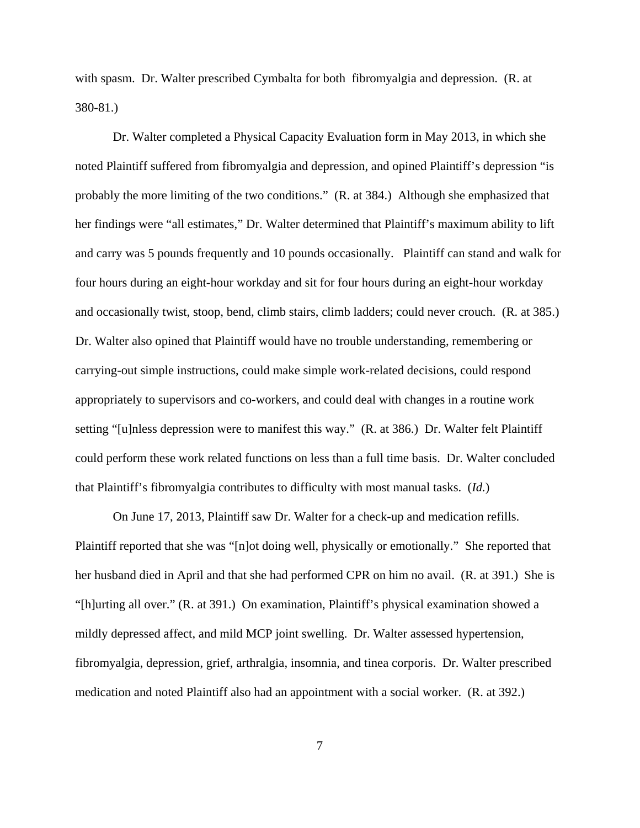with spasm. Dr. Walter prescribed Cymbalta for both fibromyalgia and depression. (R. at 380-81.)

Dr. Walter completed a Physical Capacity Evaluation form in May 2013, in which she noted Plaintiff suffered from fibromyalgia and depression, and opined Plaintiff's depression "is probably the more limiting of the two conditions." (R. at 384.) Although she emphasized that her findings were "all estimates," Dr. Walter determined that Plaintiff's maximum ability to lift and carry was 5 pounds frequently and 10 pounds occasionally. Plaintiff can stand and walk for four hours during an eight-hour workday and sit for four hours during an eight-hour workday and occasionally twist, stoop, bend, climb stairs, climb ladders; could never crouch. (R. at 385.) Dr. Walter also opined that Plaintiff would have no trouble understanding, remembering or carrying-out simple instructions, could make simple work-related decisions, could respond appropriately to supervisors and co-workers, and could deal with changes in a routine work setting "[u]nless depression were to manifest this way." (R. at 386.) Dr. Walter felt Plaintiff could perform these work related functions on less than a full time basis. Dr. Walter concluded that Plaintiff's fibromyalgia contributes to difficulty with most manual tasks. (*Id.*)

On June 17, 2013, Plaintiff saw Dr. Walter for a check-up and medication refills. Plaintiff reported that she was "[n]ot doing well, physically or emotionally." She reported that her husband died in April and that she had performed CPR on him no avail. (R. at 391.) She is "[h]urting all over." (R. at 391.) On examination, Plaintiff's physical examination showed a mildly depressed affect, and mild MCP joint swelling. Dr. Walter assessed hypertension, fibromyalgia, depression, grief, arthralgia, insomnia, and tinea corporis. Dr. Walter prescribed medication and noted Plaintiff also had an appointment with a social worker. (R. at 392.)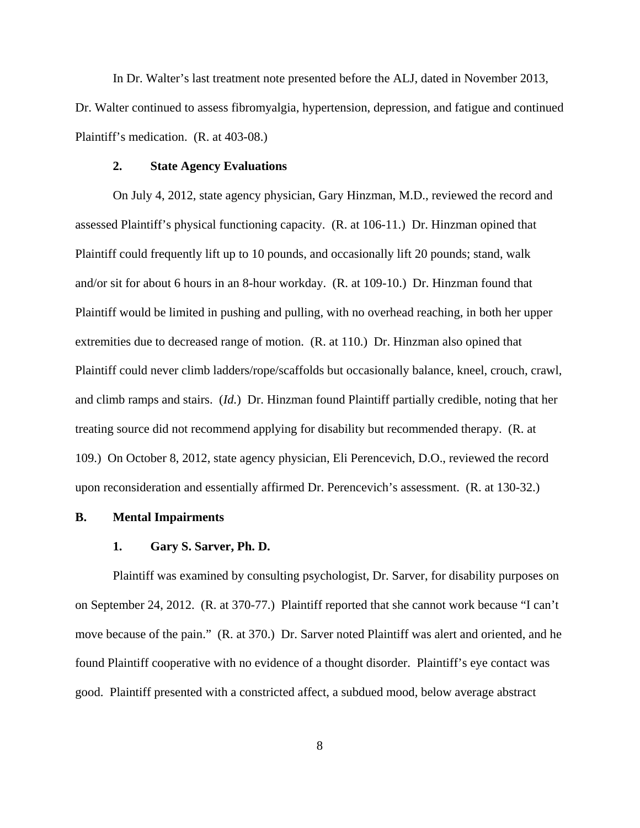In Dr. Walter's last treatment note presented before the ALJ, dated in November 2013, Dr. Walter continued to assess fibromyalgia, hypertension, depression, and fatigue and continued Plaintiff's medication. (R. at 403-08.)

### **2. State Agency Evaluations**

On July 4, 2012, state agency physician, Gary Hinzman, M.D., reviewed the record and assessed Plaintiff's physical functioning capacity. (R. at 106-11.) Dr. Hinzman opined that Plaintiff could frequently lift up to 10 pounds, and occasionally lift 20 pounds; stand, walk and/or sit for about 6 hours in an 8-hour workday. (R. at 109-10.) Dr. Hinzman found that Plaintiff would be limited in pushing and pulling, with no overhead reaching, in both her upper extremities due to decreased range of motion. (R. at 110.) Dr. Hinzman also opined that Plaintiff could never climb ladders/rope/scaffolds but occasionally balance, kneel, crouch, crawl, and climb ramps and stairs. (*Id.*) Dr. Hinzman found Plaintiff partially credible, noting that her treating source did not recommend applying for disability but recommended therapy. (R. at 109.) On October 8, 2012, state agency physician, Eli Perencevich, D.O., reviewed the record upon reconsideration and essentially affirmed Dr. Perencevich's assessment. (R. at 130-32.)

## **B. Mental Impairments**

### **1. Gary S. Sarver, Ph. D.**

Plaintiff was examined by consulting psychologist, Dr. Sarver, for disability purposes on on September 24, 2012. (R. at 370-77.) Plaintiff reported that she cannot work because "I can't move because of the pain." (R. at 370.) Dr. Sarver noted Plaintiff was alert and oriented, and he found Plaintiff cooperative with no evidence of a thought disorder. Plaintiff's eye contact was good. Plaintiff presented with a constricted affect, a subdued mood, below average abstract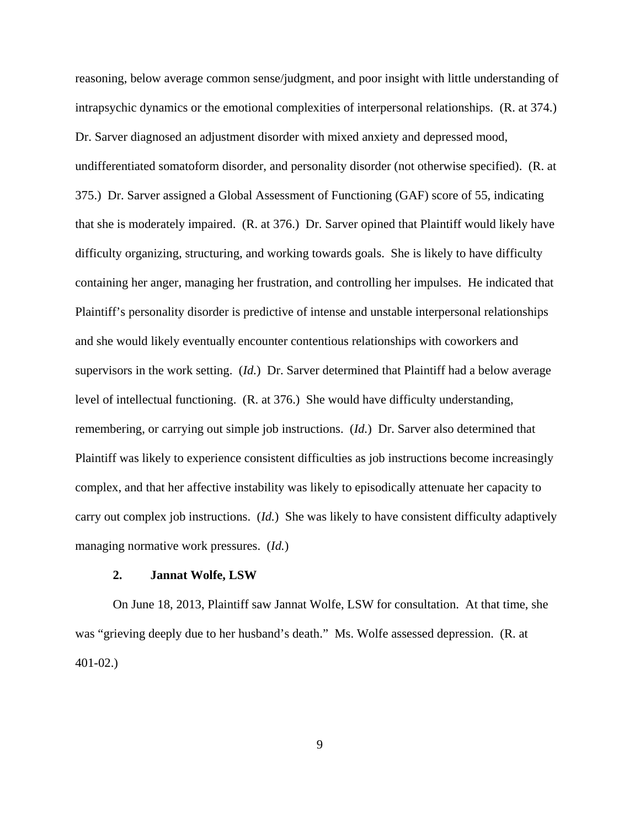reasoning, below average common sense/judgment, and poor insight with little understanding of intrapsychic dynamics or the emotional complexities of interpersonal relationships. (R. at 374.) Dr. Sarver diagnosed an adjustment disorder with mixed anxiety and depressed mood, undifferentiated somatoform disorder, and personality disorder (not otherwise specified). (R. at 375.) Dr. Sarver assigned a Global Assessment of Functioning (GAF) score of 55, indicating that she is moderately impaired. (R. at 376.) Dr. Sarver opined that Plaintiff would likely have difficulty organizing, structuring, and working towards goals. She is likely to have difficulty containing her anger, managing her frustration, and controlling her impulses. He indicated that Plaintiff's personality disorder is predictive of intense and unstable interpersonal relationships and she would likely eventually encounter contentious relationships with coworkers and supervisors in the work setting. (*Id.*) Dr. Sarver determined that Plaintiff had a below average level of intellectual functioning. (R. at 376.) She would have difficulty understanding, remembering, or carrying out simple job instructions. (*Id.*) Dr. Sarver also determined that Plaintiff was likely to experience consistent difficulties as job instructions become increasingly complex, and that her affective instability was likely to episodically attenuate her capacity to carry out complex job instructions. (*Id.*) She was likely to have consistent difficulty adaptively managing normative work pressures. (*Id.*)

## **2. Jannat Wolfe, LSW**

On June 18, 2013, Plaintiff saw Jannat Wolfe, LSW for consultation. At that time, she was "grieving deeply due to her husband's death." Ms. Wolfe assessed depression. (R. at 401-02.)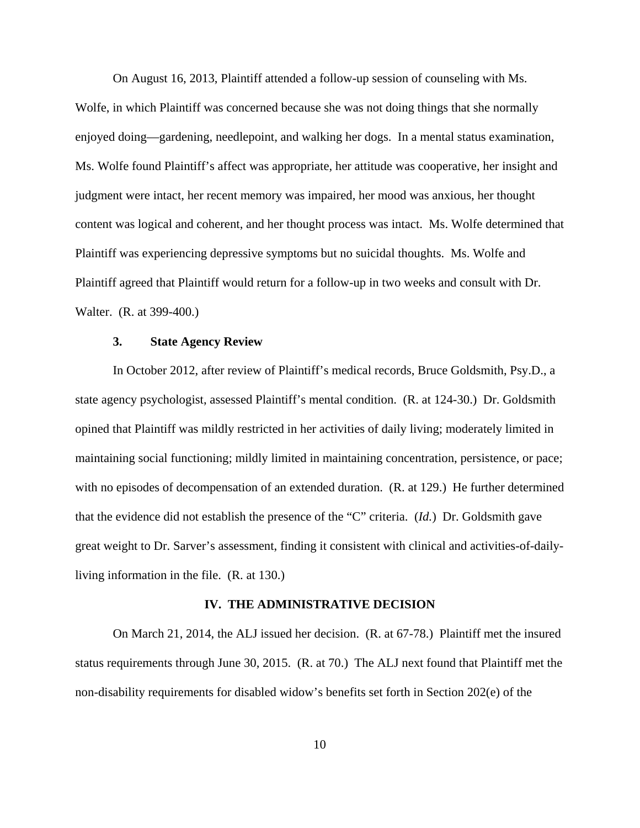On August 16, 2013, Plaintiff attended a follow-up session of counseling with Ms. Wolfe, in which Plaintiff was concerned because she was not doing things that she normally enjoyed doing—gardening, needlepoint, and walking her dogs. In a mental status examination, Ms. Wolfe found Plaintiff's affect was appropriate, her attitude was cooperative, her insight and judgment were intact, her recent memory was impaired, her mood was anxious, her thought content was logical and coherent, and her thought process was intact. Ms. Wolfe determined that Plaintiff was experiencing depressive symptoms but no suicidal thoughts. Ms. Wolfe and Plaintiff agreed that Plaintiff would return for a follow-up in two weeks and consult with Dr. Walter. (R. at 399-400.)

### **3. State Agency Review**

In October 2012, after review of Plaintiff's medical records, Bruce Goldsmith, Psy.D., a state agency psychologist, assessed Plaintiff's mental condition. (R. at 124-30.) Dr. Goldsmith opined that Plaintiff was mildly restricted in her activities of daily living; moderately limited in maintaining social functioning; mildly limited in maintaining concentration, persistence, or pace; with no episodes of decompensation of an extended duration. (R. at 129.) He further determined that the evidence did not establish the presence of the "C" criteria. (*Id.*) Dr. Goldsmith gave great weight to Dr. Sarver's assessment, finding it consistent with clinical and activities-of-dailyliving information in the file. (R. at 130.)

#### **IV. THE ADMINISTRATIVE DECISION**

On March 21, 2014, the ALJ issued her decision. (R. at 67-78.) Plaintiff met the insured status requirements through June 30, 2015. (R. at 70.) The ALJ next found that Plaintiff met the non-disability requirements for disabled widow's benefits set forth in Section 202(e) of the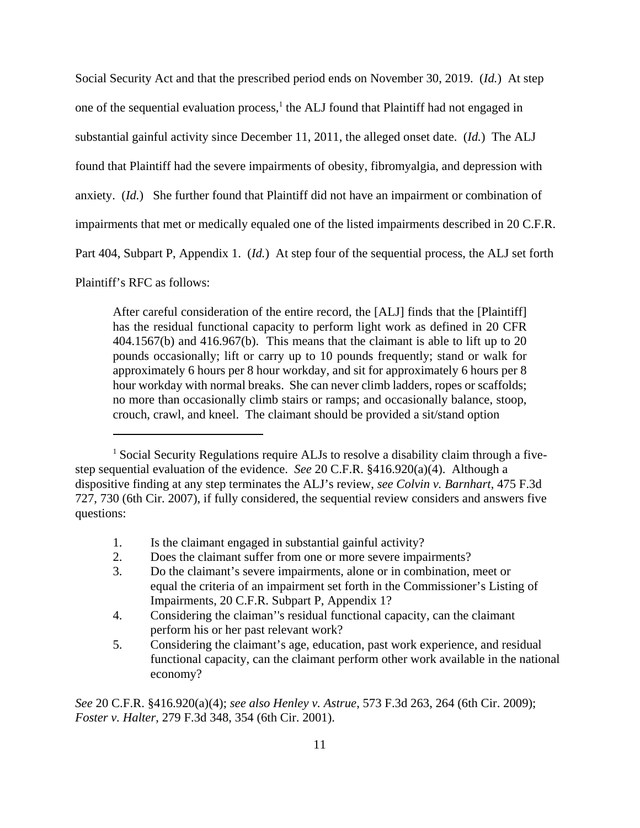Social Security Act and that the prescribed period ends on November 30, 2019. (*Id.*) At step one of the sequential evaluation process,<sup>1</sup> the ALJ found that Plaintiff had not engaged in substantial gainful activity since December 11, 2011, the alleged onset date. (*Id.*) The ALJ found that Plaintiff had the severe impairments of obesity, fibromyalgia, and depression with anxiety. (*Id.*) She further found that Plaintiff did not have an impairment or combination of impairments that met or medically equaled one of the listed impairments described in 20 C.F.R. Part 404, Subpart P, Appendix 1. (*Id.*) At step four of the sequential process, the ALJ set forth

Plaintiff's RFC as follows:

After careful consideration of the entire record, the [ALJ] finds that the [Plaintiff] has the residual functional capacity to perform light work as defined in 20 CFR 404.1567(b) and 416.967(b). This means that the claimant is able to lift up to 20 pounds occasionally; lift or carry up to 10 pounds frequently; stand or walk for approximately 6 hours per 8 hour workday, and sit for approximately 6 hours per 8 hour workday with normal breaks. She can never climb ladders, ropes or scaffolds; no more than occasionally climb stairs or ramps; and occasionally balance, stoop, crouch, crawl, and kneel. The claimant should be provided a sit/stand option

- 1. Is the claimant engaged in substantial gainful activity?
- 2. Does the claimant suffer from one or more severe impairments?
- 3. Do the claimant's severe impairments, alone or in combination, meet or equal the criteria of an impairment set forth in the Commissioner's Listing of Impairments, 20 C.F.R. Subpart P, Appendix 1?
- 4. Considering the claiman''s residual functional capacity, can the claimant perform his or her past relevant work?
- 5. Considering the claimant's age, education, past work experience, and residual functional capacity, can the claimant perform other work available in the national economy?

*See* 20 C.F.R. §416.920(a)(4); *see also Henley v. Astrue*, 573 F.3d 263, 264 (6th Cir. 2009); *Foster v. Halter*, 279 F.3d 348, 354 (6th Cir. 2001).

<sup>&</sup>lt;sup>1</sup> Social Security Regulations require ALJs to resolve a disability claim through a fivestep sequential evaluation of the evidence. *See* 20 C.F.R. §416.920(a)(4). Although a dispositive finding at any step terminates the ALJ's review, *see Colvin v. Barnhart*, 475 F.3d 727, 730 (6th Cir. 2007), if fully considered, the sequential review considers and answers five questions: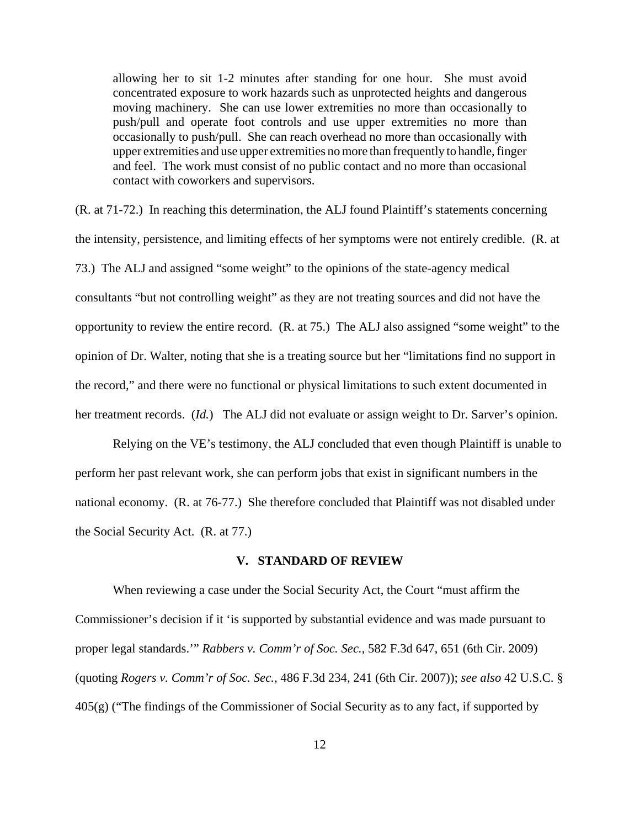allowing her to sit 1-2 minutes after standing for one hour. She must avoid concentrated exposure to work hazards such as unprotected heights and dangerous moving machinery. She can use lower extremities no more than occasionally to push/pull and operate foot controls and use upper extremities no more than occasionally to push/pull. She can reach overhead no more than occasionally with upper extremities and use upper extremities no more than frequently to handle, finger and feel. The work must consist of no public contact and no more than occasional contact with coworkers and supervisors.

(R. at 71-72.) In reaching this determination, the ALJ found Plaintiff's statements concerning the intensity, persistence, and limiting effects of her symptoms were not entirely credible. (R. at 73.) The ALJ and assigned "some weight" to the opinions of the state-agency medical consultants "but not controlling weight" as they are not treating sources and did not have the opportunity to review the entire record. (R. at 75.) The ALJ also assigned "some weight" to the opinion of Dr. Walter, noting that she is a treating source but her "limitations find no support in the record," and there were no functional or physical limitations to such extent documented in her treatment records. (*Id.*) The ALJ did not evaluate or assign weight to Dr. Sarver's opinion.

Relying on the VE's testimony, the ALJ concluded that even though Plaintiff is unable to perform her past relevant work, she can perform jobs that exist in significant numbers in the national economy. (R. at 76-77.) She therefore concluded that Plaintiff was not disabled under the Social Security Act. (R. at 77.)

### **V. STANDARD OF REVIEW**

When reviewing a case under the Social Security Act, the Court "must affirm the Commissioner's decision if it 'is supported by substantial evidence and was made pursuant to proper legal standards.'" *Rabbers v. Comm'r of Soc. Sec.*, 582 F.3d 647, 651 (6th Cir. 2009) (quoting *Rogers v. Comm'r of Soc. Sec.*, 486 F.3d 234, 241 (6th Cir. 2007)); *see also* 42 U.S.C. § 405(g) ("The findings of the Commissioner of Social Security as to any fact, if supported by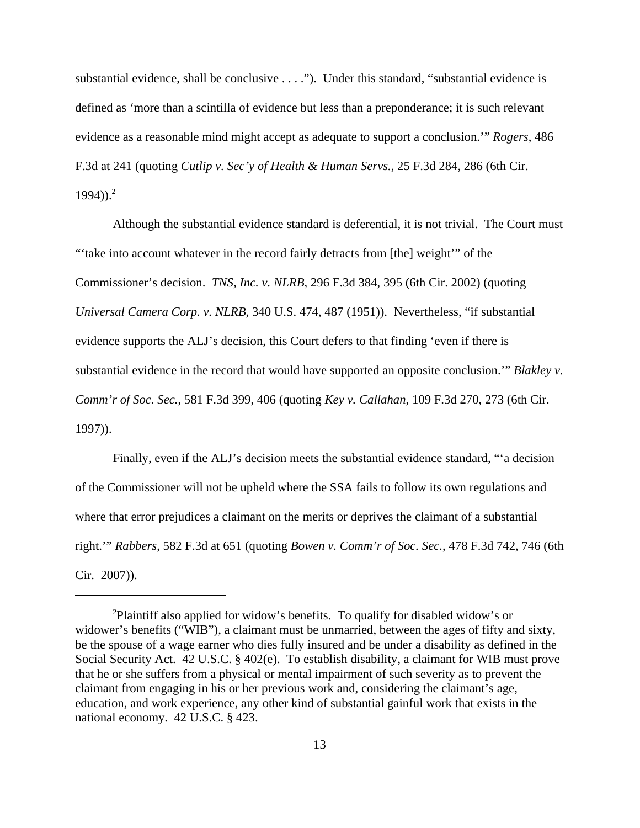substantial evidence, shall be conclusive . . . ."). Under this standard, "substantial evidence is defined as 'more than a scintilla of evidence but less than a preponderance; it is such relevant evidence as a reasonable mind might accept as adequate to support a conclusion.'" *Rogers*, 486 F.3d at 241 (quoting *Cutlip v. Sec'y of Health & Human Servs.*, 25 F.3d 284, 286 (6th Cir.  $1994)$ ).<sup>2</sup>

Although the substantial evidence standard is deferential, it is not trivial. The Court must "take into account whatever in the record fairly detracts from [the] weight" of the Commissioner's decision. *TNS, Inc. v. NLRB*, 296 F.3d 384, 395 (6th Cir. 2002) (quoting *Universal Camera Corp. v. NLRB*, 340 U.S. 474, 487 (1951)). Nevertheless, "if substantial evidence supports the ALJ's decision, this Court defers to that finding 'even if there is substantial evidence in the record that would have supported an opposite conclusion.'" *Blakley v. Comm'r of Soc. Sec.*, 581 F.3d 399, 406 (quoting *Key v. Callahan*, 109 F.3d 270, 273 (6th Cir. 1997)).

Finally, even if the ALJ's decision meets the substantial evidence standard, "'a decision of the Commissioner will not be upheld where the SSA fails to follow its own regulations and where that error prejudices a claimant on the merits or deprives the claimant of a substantial right.'" *Rabbers*, 582 F.3d at 651 (quoting *Bowen v. Comm'r of Soc. Sec.*, 478 F.3d 742, 746 (6th Cir. 2007)).

<sup>2</sup>Plaintiff also applied for widow's benefits. To qualify for disabled widow's or widower's benefits ("WIB"), a claimant must be unmarried, between the ages of fifty and sixty, be the spouse of a wage earner who dies fully insured and be under a disability as defined in the Social Security Act. 42 U.S.C. § 402(e). To establish disability, a claimant for WIB must prove that he or she suffers from a physical or mental impairment of such severity as to prevent the claimant from engaging in his or her previous work and, considering the claimant's age, education, and work experience, any other kind of substantial gainful work that exists in the national economy. 42 U.S.C. § 423.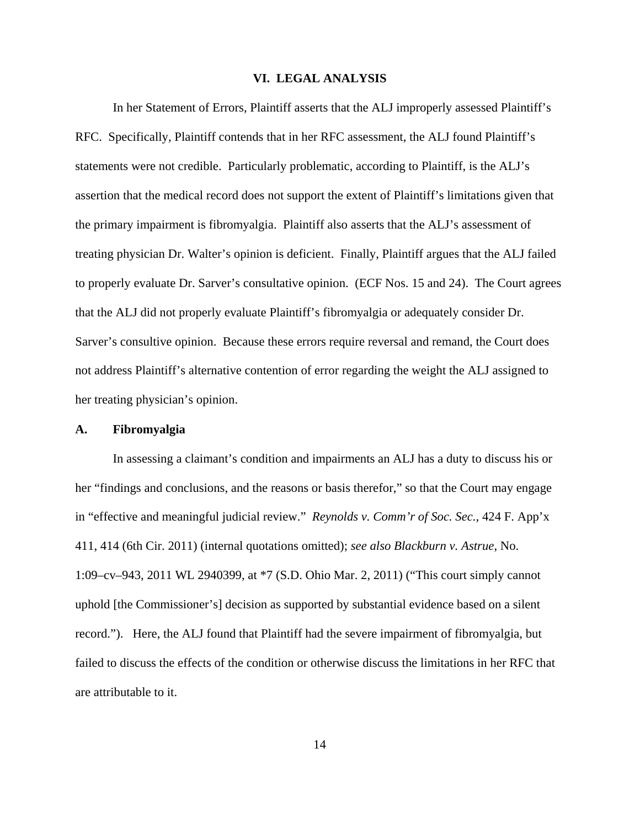### **VI. LEGAL ANALYSIS**

In her Statement of Errors, Plaintiff asserts that the ALJ improperly assessed Plaintiff's RFC. Specifically, Plaintiff contends that in her RFC assessment, the ALJ found Plaintiff's statements were not credible. Particularly problematic, according to Plaintiff, is the ALJ's assertion that the medical record does not support the extent of Plaintiff's limitations given that the primary impairment is fibromyalgia. Plaintiff also asserts that the ALJ's assessment of treating physician Dr. Walter's opinion is deficient. Finally, Plaintiff argues that the ALJ failed to properly evaluate Dr. Sarver's consultative opinion. (ECF Nos. 15 and 24). The Court agrees that the ALJ did not properly evaluate Plaintiff's fibromyalgia or adequately consider Dr. Sarver's consultive opinion. Because these errors require reversal and remand, the Court does not address Plaintiff's alternative contention of error regarding the weight the ALJ assigned to her treating physician's opinion.

#### **A. Fibromyalgia**

In assessing a claimant's condition and impairments an ALJ has a duty to discuss his or her "findings and conclusions, and the reasons or basis therefor," so that the Court may engage in "effective and meaningful judicial review." *Reynolds v. Comm'r of Soc. Sec.*, 424 F. App'x 411, 414 (6th Cir. 2011) (internal quotations omitted); *see also Blackburn v. Astrue*, No. 1:09–cv–943, 2011 WL 2940399, at \*7 (S.D. Ohio Mar. 2, 2011) ("This court simply cannot uphold [the Commissioner's] decision as supported by substantial evidence based on a silent record."). Here, the ALJ found that Plaintiff had the severe impairment of fibromyalgia, but failed to discuss the effects of the condition or otherwise discuss the limitations in her RFC that are attributable to it.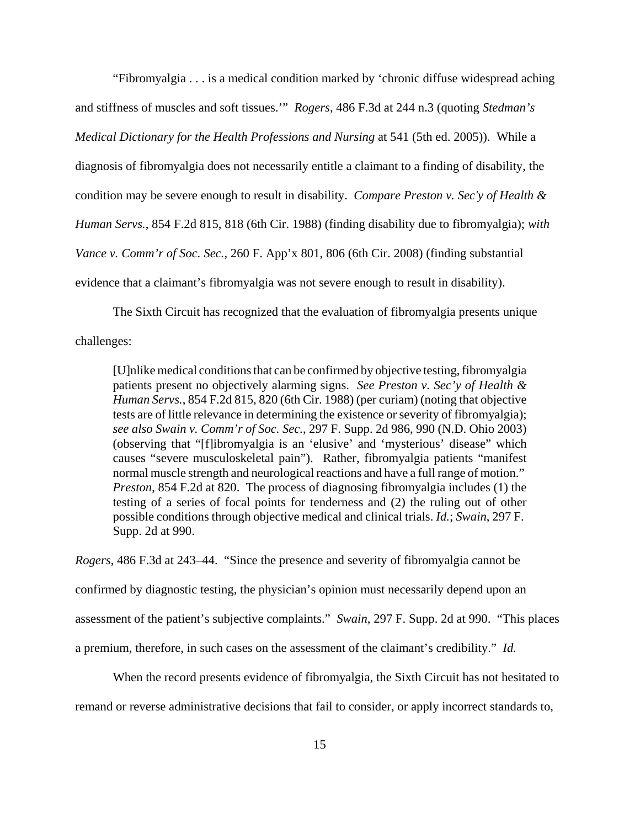"Fibromyalgia . . . is a medical condition marked by 'chronic diffuse widespread aching and stiffness of muscles and soft tissues.'" *Rogers*, 486 F.3d at 244 n.3 (quoting *Stedman's Medical Dictionary for the Health Professions and Nursing* at 541 (5th ed. 2005)). While a diagnosis of fibromyalgia does not necessarily entitle a claimant to a finding of disability, the condition may be severe enough to result in disability. *Compare Preston v. Sec'y of Health & Human Servs.*, 854 F.2d 815, 818 (6th Cir. 1988) (finding disability due to fibromyalgia); *with Vance v. Comm'r of Soc. Sec.*, 260 F. App'x 801, 806 (6th Cir. 2008) (finding substantial evidence that a claimant's fibromyalgia was not severe enough to result in disability).

The Sixth Circuit has recognized that the evaluation of fibromyalgia presents unique

challenges:

[U]nlike medical conditions that can be confirmed by objective testing, fibromyalgia patients present no objectively alarming signs. *See Preston v. Sec'y of Health & Human Servs.*, 854 F.2d 815, 820 (6th Cir. 1988) (per curiam) (noting that objective tests are of little relevance in determining the existence or severity of fibromyalgia); *see also Swain v. Comm'r of Soc. Sec.*, 297 F. Supp. 2d 986, 990 (N.D. Ohio 2003) (observing that "[f]ibromyalgia is an 'elusive' and 'mysterious' disease" which causes "severe musculoskeletal pain"). Rather, fibromyalgia patients "manifest normal muscle strength and neurological reactions and have a full range of motion." *Preston*, 854 F.2d at 820. The process of diagnosing fibromyalgia includes (1) the testing of a series of focal points for tenderness and (2) the ruling out of other possible conditions through objective medical and clinical trials. *Id.*; *Swain*, 297 F. Supp. 2d at 990.

*Rogers*, 486 F.3d at 243–44. "Since the presence and severity of fibromyalgia cannot be confirmed by diagnostic testing, the physician's opinion must necessarily depend upon an assessment of the patient's subjective complaints." *Swain*, 297 F. Supp. 2d at 990. "This places a premium, therefore, in such cases on the assessment of the claimant's credibility." *Id.*

When the record presents evidence of fibromyalgia, the Sixth Circuit has not hesitated to remand or reverse administrative decisions that fail to consider, or apply incorrect standards to,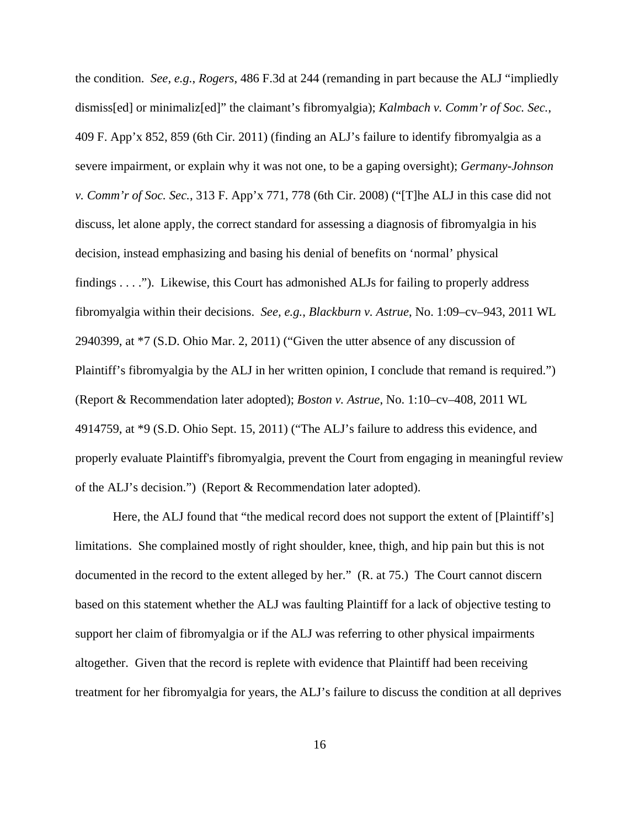the condition. *See, e.g.*, *Rogers*, 486 F.3d at 244 (remanding in part because the ALJ "impliedly dismiss[ed] or minimaliz[ed]" the claimant's fibromyalgia); *Kalmbach v. Comm'r of Soc. Sec.*, 409 F. App'x 852, 859 (6th Cir. 2011) (finding an ALJ's failure to identify fibromyalgia as a severe impairment, or explain why it was not one, to be a gaping oversight); *Germany-Johnson v. Comm'r of Soc. Sec.*, 313 F. App'x 771, 778 (6th Cir. 2008) ("[T]he ALJ in this case did not discuss, let alone apply, the correct standard for assessing a diagnosis of fibromyalgia in his decision, instead emphasizing and basing his denial of benefits on 'normal' physical findings . . . ."). Likewise, this Court has admonished ALJs for failing to properly address fibromyalgia within their decisions. *See, e.g.*, *Blackburn v. Astrue*, No. 1:09–cv–943, 2011 WL 2940399, at \*7 (S.D. Ohio Mar. 2, 2011) ("Given the utter absence of any discussion of Plaintiff's fibromyalgia by the ALJ in her written opinion, I conclude that remand is required.") (Report & Recommendation later adopted); *Boston v. Astrue*, No. 1:10–cv–408, 2011 WL 4914759, at \*9 (S.D. Ohio Sept. 15, 2011) ("The ALJ's failure to address this evidence, and properly evaluate Plaintiff's fibromyalgia, prevent the Court from engaging in meaningful review of the ALJ's decision.") (Report & Recommendation later adopted).

Here, the ALJ found that "the medical record does not support the extent of [Plaintiff's] limitations. She complained mostly of right shoulder, knee, thigh, and hip pain but this is not documented in the record to the extent alleged by her." (R. at 75.) The Court cannot discern based on this statement whether the ALJ was faulting Plaintiff for a lack of objective testing to support her claim of fibromyalgia or if the ALJ was referring to other physical impairments altogether. Given that the record is replete with evidence that Plaintiff had been receiving treatment for her fibromyalgia for years, the ALJ's failure to discuss the condition at all deprives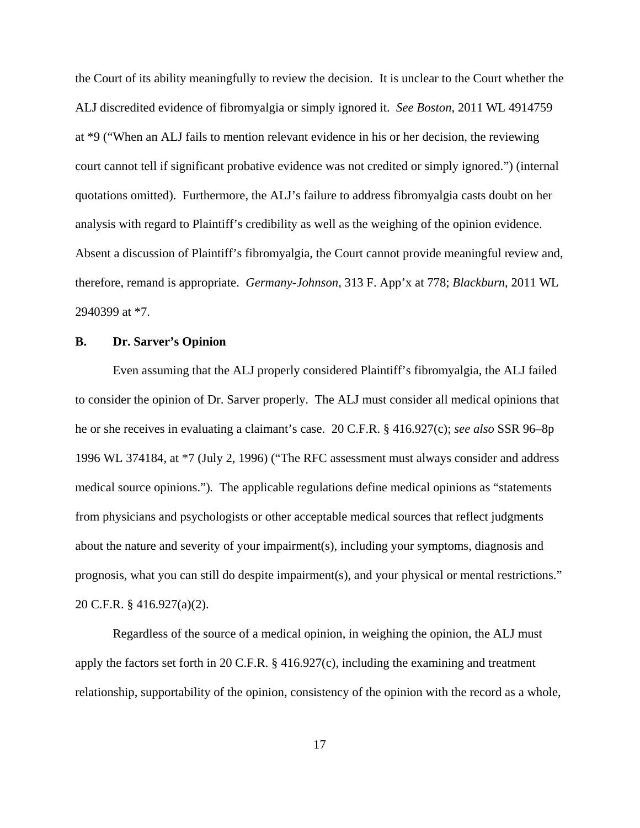the Court of its ability meaningfully to review the decision. It is unclear to the Court whether the ALJ discredited evidence of fibromyalgia or simply ignored it. *See Boston*, 2011 WL 4914759 at \*9 ("When an ALJ fails to mention relevant evidence in his or her decision, the reviewing court cannot tell if significant probative evidence was not credited or simply ignored.") (internal quotations omitted). Furthermore, the ALJ's failure to address fibromyalgia casts doubt on her analysis with regard to Plaintiff's credibility as well as the weighing of the opinion evidence. Absent a discussion of Plaintiff's fibromyalgia, the Court cannot provide meaningful review and, therefore, remand is appropriate. *Germany-Johnson*, 313 F. App'x at 778; *Blackburn*, 2011 WL 2940399 at \*7.

## **B. Dr. Sarver's Opinion**

Even assuming that the ALJ properly considered Plaintiff's fibromyalgia, the ALJ failed to consider the opinion of Dr. Sarver properly. The ALJ must consider all medical opinions that he or she receives in evaluating a claimant's case. 20 C.F.R. § 416.927(c); *see also* SSR 96–8p 1996 WL 374184, at \*7 (July 2, 1996) ("The RFC assessment must always consider and address medical source opinions.")*.* The applicable regulations define medical opinions as "statements from physicians and psychologists or other acceptable medical sources that reflect judgments about the nature and severity of your impairment(s), including your symptoms, diagnosis and prognosis, what you can still do despite impairment(s), and your physical or mental restrictions." 20 C.F.R. § 416.927(a)(2).

Regardless of the source of a medical opinion, in weighing the opinion, the ALJ must apply the factors set forth in 20 C.F.R. § 416.927(c), including the examining and treatment relationship, supportability of the opinion, consistency of the opinion with the record as a whole,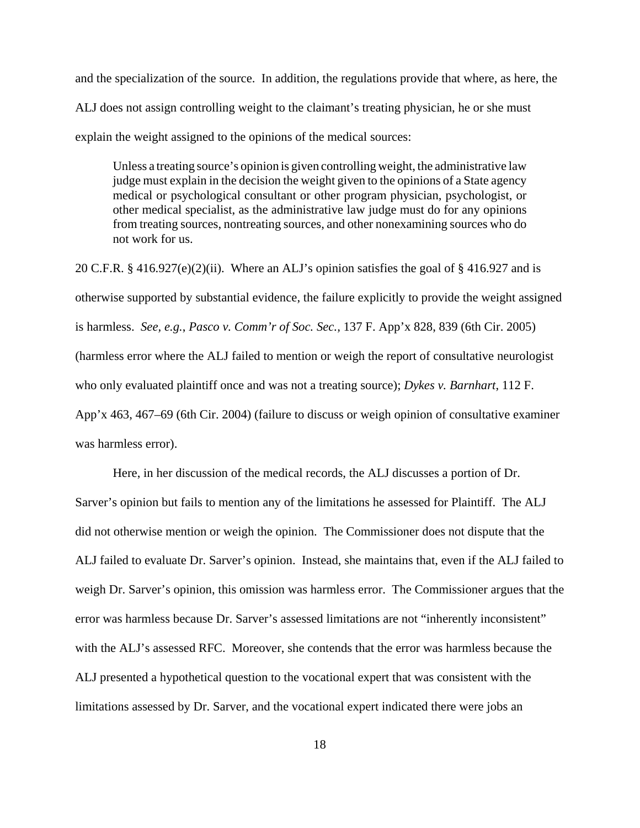and the specialization of the source. In addition, the regulations provide that where, as here, the ALJ does not assign controlling weight to the claimant's treating physician, he or she must explain the weight assigned to the opinions of the medical sources:

Unless a treating source's opinion is given controlling weight, the administrative law judge must explain in the decision the weight given to the opinions of a State agency medical or psychological consultant or other program physician, psychologist, or other medical specialist, as the administrative law judge must do for any opinions from treating sources, nontreating sources, and other nonexamining sources who do not work for us.

20 C.F.R.  $\S$  416.927(e)(2)(ii). Where an ALJ's opinion satisfies the goal of  $\S$  416.927 and is otherwise supported by substantial evidence, the failure explicitly to provide the weight assigned is harmless. *See, e.g.*, *Pasco v. Comm'r of Soc. Sec.,* 137 F. App'x 828, 839 (6th Cir. 2005) (harmless error where the ALJ failed to mention or weigh the report of consultative neurologist who only evaluated plaintiff once and was not a treating source); *Dykes v. Barnhart*, 112 F. App'x 463, 467–69 (6th Cir. 2004) (failure to discuss or weigh opinion of consultative examiner was harmless error).

Here, in her discussion of the medical records, the ALJ discusses a portion of Dr. Sarver's opinion but fails to mention any of the limitations he assessed for Plaintiff. The ALJ did not otherwise mention or weigh the opinion. The Commissioner does not dispute that the ALJ failed to evaluate Dr. Sarver's opinion. Instead, she maintains that, even if the ALJ failed to weigh Dr. Sarver's opinion, this omission was harmless error. The Commissioner argues that the error was harmless because Dr. Sarver's assessed limitations are not "inherently inconsistent" with the ALJ's assessed RFC. Moreover, she contends that the error was harmless because the ALJ presented a hypothetical question to the vocational expert that was consistent with the limitations assessed by Dr. Sarver, and the vocational expert indicated there were jobs an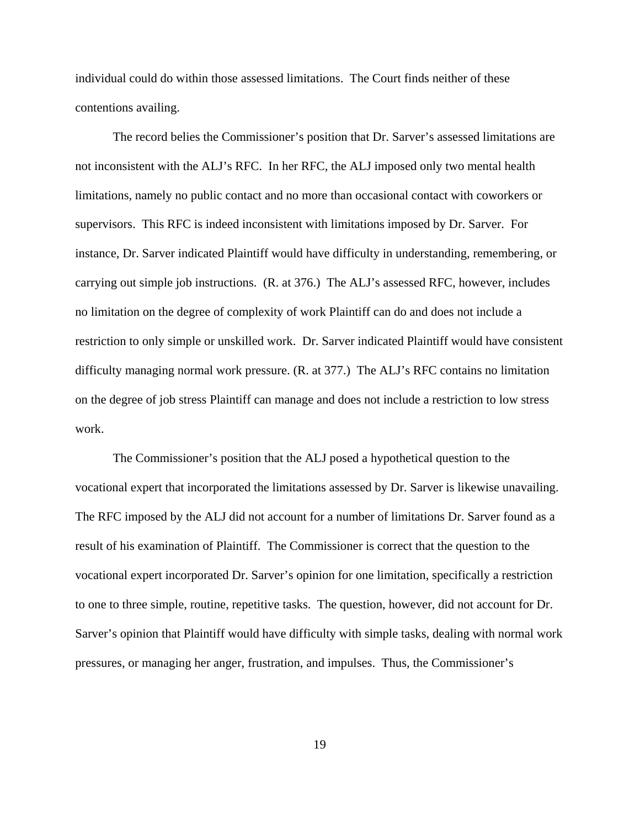individual could do within those assessed limitations. The Court finds neither of these contentions availing.

The record belies the Commissioner's position that Dr. Sarver's assessed limitations are not inconsistent with the ALJ's RFC. In her RFC, the ALJ imposed only two mental health limitations, namely no public contact and no more than occasional contact with coworkers or supervisors. This RFC is indeed inconsistent with limitations imposed by Dr. Sarver. For instance, Dr. Sarver indicated Plaintiff would have difficulty in understanding, remembering, or carrying out simple job instructions. (R. at 376.) The ALJ's assessed RFC, however, includes no limitation on the degree of complexity of work Plaintiff can do and does not include a restriction to only simple or unskilled work. Dr. Sarver indicated Plaintiff would have consistent difficulty managing normal work pressure. (R. at 377.) The ALJ's RFC contains no limitation on the degree of job stress Plaintiff can manage and does not include a restriction to low stress work.

The Commissioner's position that the ALJ posed a hypothetical question to the vocational expert that incorporated the limitations assessed by Dr. Sarver is likewise unavailing. The RFC imposed by the ALJ did not account for a number of limitations Dr. Sarver found as a result of his examination of Plaintiff. The Commissioner is correct that the question to the vocational expert incorporated Dr. Sarver's opinion for one limitation, specifically a restriction to one to three simple, routine, repetitive tasks. The question, however, did not account for Dr. Sarver's opinion that Plaintiff would have difficulty with simple tasks, dealing with normal work pressures, or managing her anger, frustration, and impulses. Thus, the Commissioner's